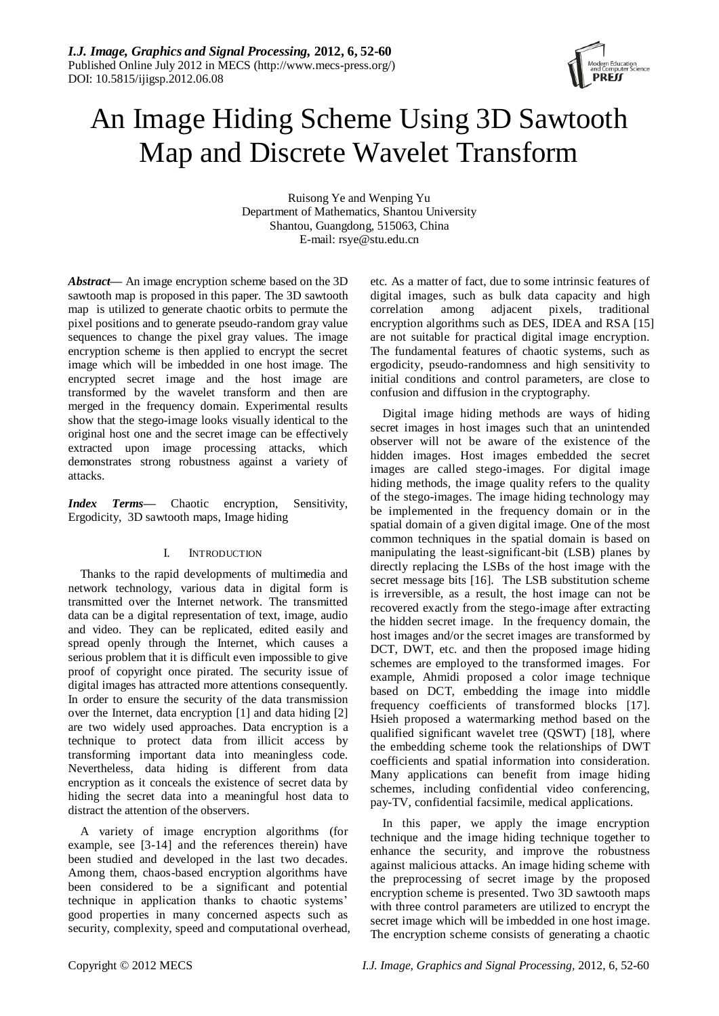

# An Image Hiding Scheme Using 3D Sawtooth Map and Discrete Wavelet Transform

Ruisong Ye and Wenping Yu Department of Mathematics, Shantou University Shantou, Guangdong, 515063, China E-mail: rsye@stu.edu.cn

*Abstract***—** An image encryption scheme based on the 3D sawtooth map is proposed in this paper. The 3D sawtooth map is utilized to generate chaotic orbits to permute the pixel positions and to generate pseudo-random gray value sequences to change the pixel gray values. The image encryption scheme is then applied to encrypt the secret image which will be imbedded in one host image. The encrypted secret image and the host image are transformed by the wavelet transform and then are merged in the frequency domain. Experimental results show that the stego-image looks visually identical to the original host one and the secret image can be effectively extracted upon image processing attacks, which demonstrates strong robustness against a variety of attacks.

*Index Terms—* Chaotic encryption, Sensitivity, Ergodicity, 3D sawtooth maps, Image hiding

# I. INTRODUCTION

Thanks to the rapid developments of multimedia and network technology, various data in digital form is transmitted over the Internet network. The transmitted data can be a digital representation of text, image, audio and video. They can be replicated, edited easily and spread openly through the Internet, which causes a serious problem that it is difficult even impossible to give proof of copyright once pirated. The security issue of digital images has attracted more attentions consequently. In order to ensure the security of the data transmission over the Internet, data encryption [1] and data hiding [2] are two widely used approaches. Data encryption is a technique to protect data from illicit access by transforming important data into meaningless code. Nevertheless, data hiding is different from data encryption as it conceals the existence of secret data by hiding the secret data into a meaningful host data to distract the attention of the observers.

A variety of image encryption algorithms (for example, see [3-14] and the references therein) have been studied and developed in the last two decades. Among them, chaos-based encryption algorithms have been considered to be a significant and potential technique in application thanks to chaotic systems' good properties in many concerned aspects such as security, complexity, speed and computational overhead,

etc. As a matter of fact, due to some intrinsic features of digital images, such as bulk data capacity and high correlation among adjacent pixels, traditional encryption algorithms such as DES, IDEA and RSA [15] are not suitable for practical digital image encryption. The fundamental features of chaotic systems, such as ergodicity, pseudo-randomness and high sensitivity to initial conditions and control parameters, are close to confusion and diffusion in the cryptography.

Digital image hiding methods are ways of hiding secret images in host images such that an unintended observer will not be aware of the existence of the hidden images. Host images embedded the secret images are called stego-images. For digital image hiding methods, the image quality refers to the quality of the stego-images. The image hiding technology may be implemented in the frequency domain or in the spatial domain of a given digital image. One of the most common techniques in the spatial domain is based on manipulating the least-significant-bit (LSB) planes by directly replacing the LSBs of the host image with the secret message bits [16]. The LSB substitution scheme is irreversible, as a result, the host image can not be recovered exactly from the stego-image after extracting the hidden secret image. In the frequency domain, the host images and/or the secret images are transformed by DCT, DWT, etc. and then the proposed image hiding schemes are employed to the transformed images. For example, Ahmidi proposed a color image technique based on DCT, embedding the image into middle frequency coefficients of transformed blocks [17]. Hsieh proposed a watermarking method based on the qualified significant wavelet tree (QSWT) [18], where the embedding scheme took the relationships of DWT coefficients and spatial information into consideration. Many applications can benefit from image hiding schemes, including confidential video conferencing, pay-TV, confidential facsimile, medical applications.

In this paper, we apply the image encryption technique and the image hiding technique together to enhance the security, and improve the robustness against malicious attacks. An image hiding scheme with the preprocessing of secret image by the proposed encryption scheme is presented. Two 3D sawtooth maps with three control parameters are utilized to encrypt the secret image which will be imbedded in one host image. The encryption scheme consists of generating a chaotic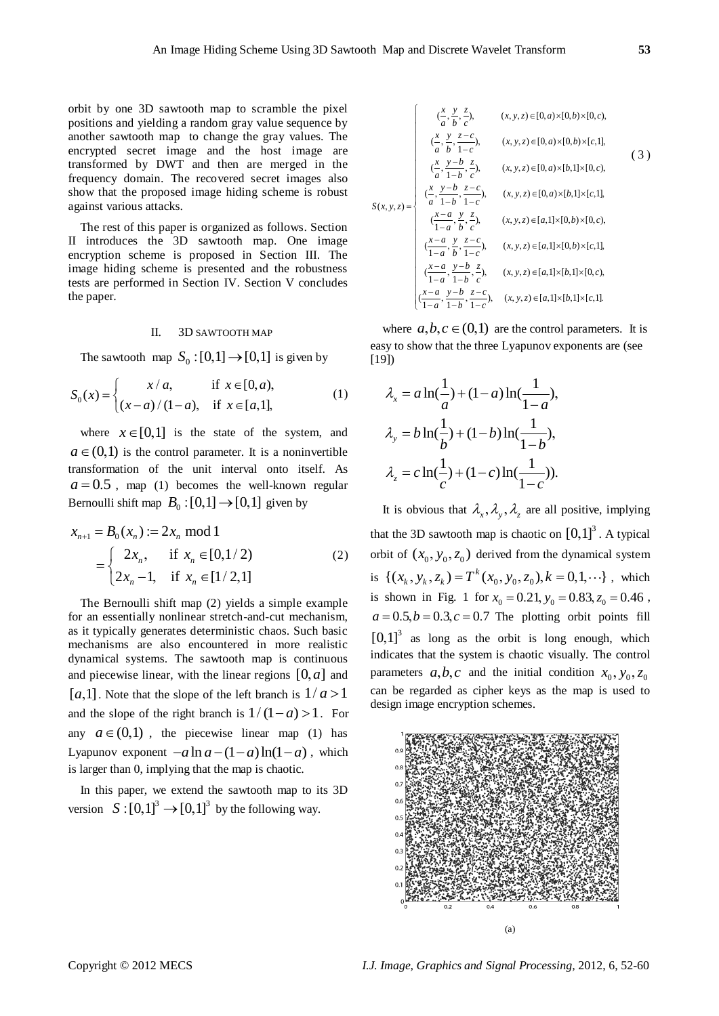orbit by one 3D sawtooth map to scramble the pixel positions and yielding a random gray value sequence by another sawtooth map to change the gray values. The encrypted secret image and the host image are transformed by DWT and then are merged in the frequency domain. The recovered secret images also show that the proposed image hiding scheme is robust against various attacks.

The rest of this paper is organized as follows. Section II introduces the 3D sawtooth map. One image encryption scheme is proposed in Section III. The image hiding scheme is presented and the robustness tests are performed in Section IV. Section V concludes the paper.

## II. 3D SAWTOOTH MAP

The sawtooth map  $S_0: [0,1] \rightarrow [0,1]$  is given by

$$
S_0(x) = \begin{cases} x/a, & \text{if } x \in [0, a), \\ (x-a)/(1-a), & \text{if } x \in [a, 1], \end{cases}
$$
 (1)

where  $x \in [0,1]$  is the state of the system, and  $a \in (0,1)$  is the control parameter. It is a noninvertible transformation of the unit interval onto itself. As  $a = 0.5$ , map (1) becomes the well-known regular Bernoulli shift map  $B_0: [0,1] \to [0,1]$  given by

$$
x_{n+1} = B_0(x_n) := 2x_n \text{ mod } 1
$$
  
= 
$$
\begin{cases} 2x_n, & \text{if } x_n \in [0, 1/2) \\ 2x_n - 1, & \text{if } x_n \in [1/2, 1] \end{cases}
$$
 (2)

The Bernoulli shift map (2) yields a simple example for an essentially nonlinear stretch-and-cut mechanism, as it typically generates deterministic chaos. Such basic mechanisms are also encountered in more realistic dynamical systems. The sawtooth map is continuous and piecewise linear, with the linear regions  $[0, a]$  and [ $a$ ,1]. Note that the slope of the left branch is  $1/a > 1$ and the slope of the right branch is  $1/(1-a) > 1$ . For any  $a \in (0,1)$ , the piecewise linear map (1) has Lyapunov exponent  $-a \ln a - (1-a) \ln(1-a)$ , which is larger than 0, implying that the map is chaotic.

In this paper, we extend the sawtooth map to its 3D version  $S: [0,1]^3 \rightarrow [0,1]^3$  by the following way.

$$
S(x, y, z) = \begin{cases} \frac{x}{a}, \frac{y}{b}, \frac{z}{c}, & (x, y, z) \in [0, a) \times [0, b) \times [0, c), \\ \frac{x}{a}, \frac{y}{b}, \frac{z-c}{1-c}, & (x, y, z) \in [0, a) \times [0, b) \times [c, 1], \\ \frac{x}{a}, \frac{y-b}{1-b}, & (x, y, z) \in [0, a) \times [b, 1] \times [0, c), \\ \frac{x}{a}, \frac{y-b}{1-b}, \frac{z-c}{1-c}, & (x, y, z) \in [0, a) \times [b, 1] \times [c, 1], \\ \frac{x-a}{1-a}, \frac{y}{b}, \frac{z}{c}, & (x, y, z) \in [a, 1] \times [0, b) \times [0, c), \\ \frac{x-a}{1-a}, \frac{y}{b}, \frac{z-c}{1-c}, & (x, y, z) \in [a, 1] \times [0, b) \times [c, 1], \\ \frac{x-a}{1-a}, \frac{y-b}{1-b}, & (x, y, z) \in [a, 1] \times [b, 1] \times [0, c), \\ \frac{x-a}{1-a}, \frac{y-b}{1-b}, \frac{z-c}{1-c}, & (x, y, z) \in [a, 1] \times [b, 1] \times [c, 1]. \end{cases}
$$

where  $a, b, c \in (0,1)$  are the control parameters. It is easy to show that the three Lyapunov exponents are (see [19])

$$
\lambda_x = a \ln(\frac{1}{a}) + (1 - a) \ln(\frac{1}{1 - a}),
$$
  
\n
$$
\lambda_y = b \ln(\frac{1}{b}) + (1 - b) \ln(\frac{1}{1 - b}),
$$
  
\n
$$
\lambda_z = c \ln(\frac{1}{c}) + (1 - c) \ln(\frac{1}{1 - c}).
$$

It is obvious that  $\lambda_x$ ,  $\lambda_y$ ,  $\lambda_z$  are all positive, implying that the 3D sawtooth map is chaotic on  $[0,1]^3$ . A typical orbit of  $(x_0, y_0, z_0)$  derived from the dynamical system orbit of  $(x_0, y_0, z_0)$  derived from the dynamical system<br>is  $\{(x_k, y_k, z_k) = T^k(x_0, y_0, z_0), k = 0, 1, \dots\}$ , which is shown in Fig. 1 for  $x_0 = 0.21$ ,  $y_0 = 0.83$ ,  $z_0 = 0.46$ ,  $a = 0.5, b = 0.3, c = 0.7$  The plotting orbit points fill  $[0,1]$ <sup>3</sup> as long as the orbit is long enough, which indicates that the system is chaotic visually. The control parameters  $a, b, c$  and the initial condition  $x_0, y_0, z_0$ can be regarded as cipher keys as the map is used to design image encryption schemes.

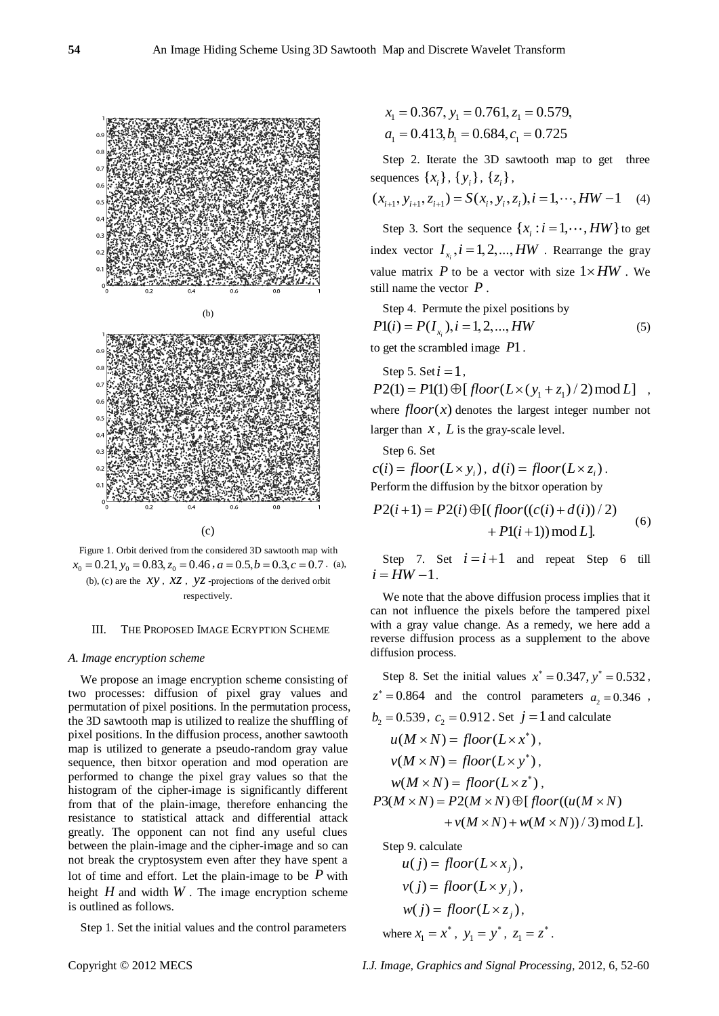

$$
\frac{1}{2}
$$

Figure 1. Orbit derived from the considered 3D sawtooth map with  $x_0 = 0.21$ ,  $y_0 = 0.83$ ,  $z_0 = 0.46$ ,  $a = 0.5$ ,  $b = 0.3$ ,  $c = 0.7$ . (a), (b), (c) are the  $xy$ ,  $xz$ ,  $yz$ -projections of the derived orbit respectively.

## III. THE PROPOSED IMAGE ECRYPTION SCHEME

# *A. Image encryption scheme*

We propose an image encryption scheme consisting of two processes: diffusion of pixel gray values and permutation of pixel positions. In the permutation process, the 3D sawtooth map is utilized to realize the shuffling of pixel positions. In the diffusion process, another sawtooth map is utilized to generate a pseudo-random gray value sequence, then bitxor operation and mod operation are performed to change the pixel gray values so that the histogram of the cipher-image is significantly different from that of the plain-image, therefore enhancing the resistance to statistical attack and differential attack greatly. The opponent can not find any useful clues between the plain-image and the cipher-image and so can not break the cryptosystem even after they have spent a lot of time and effort. Let the plain-image to be *P* with height  $H$  and width  $W$ . The image encryption scheme is outlined as follows.

Step 1. Set the initial values and the control parameters

Step 2. Iterate the 3D sawtooth map to get three

sequences 
$$
\{x_i\}
$$
,  $\{y_i\}$ ,  $\{z_i\}$ ,  
\n $(x_{i+1}, y_{i+1}, z_{i+1}) = S(x_i, y_i, z_i)$ ,  $i = 1, \dots, HW - 1$  (4)

Step 3. Sort the sequence  $\{x_i : i = 1, \dots, HW\}$  to get index vector  $I_{x_i}$ ,  $i = 1, 2, ..., HW$ . Rearrange the gray value matrix  $P$  to be a vector with size  $1 \times HW$ . We still name the vector *P* .

Step 4. Permut the pixel positions by  
\n
$$
P1(i) = P(I_{x_i}), i = 1, 2, ..., HW
$$
\n(5)

to get the scrambled image *P*1 .

Step 5. Set  $i = 1$ ,  $P2(1) = P1(1) \bigoplus [floor(L \times (y_1 + z_1)/2) \bmod L]$ , where  $floor(x)$  denotes the largest integer number not larger than  $x$ ,  $L$  is the gray-scale level.

Step 6. Set

 $c(i) = floor(L \times y_i), d(i) = floor(L \times z_i).$ 

Perform the diffusion by the bitxor operation by  
\n
$$
P2(i+1) = P2(i) \bigoplus [ (floor((c(i) + d(i)) / 2) + P1(i+1)) \bmod L].
$$
\n(6)

Step 7. Set  $i = i + 1$  and repeat Step 6 till  $i = HW - 1$ .

We note that the above diffusion process implies that it can not influence the pixels before the tampered pixel with a gray value change. As a remedy, we here add a reverse diffusion process as a supplement to the above diffusion process.

Step 8. Set the initial values  $x^* = 0.347, y^* = 0.532$ ,  $z^* = 0.864$  and the control parameters  $a_2 = 0.346$ ,  $b_2 = 0.539$ ,  $c_2 = 0.912$ . Set  $j = 1$  and calculate  $u(M \times N) = floor(L \times x^*)$ ,  $v(M \times N) = floor(L \times y^*)$ ,  $w(M \times N) = floor(L \times z^*)$ ,  $w(M \times N) = floor(L \times z^*)$ ,<br>3( $M \times N$ ) = P2( $M \times N$ )  $\oplus [floor((u(M \times N))]$  $P3(M \times N) = P2(M \times N) \oplus [floor((u(M \times N) + v(M \times N)) / 3) \mod L].$  $w(M \times N) = floor(L \times z^*)$ ,<br>  $P3(M \times N) = P2(M \times N) \oplus [floor((u(M \times N)))$  $P2(M \times N) \oplus [floor((u(M \times N)$ <br>*v*( $M \times N$ ) + *w*( $M \times N$ ))/3) mod *L*  $(M \times N) = floor(L \times z^*)$ ,<br> $\times N) = P2(M \times N) \oplus [floor((u(M \times N))$  $P2(M \times N) \oplus [floor((u(M \times N) + v(M \times N) + w(M \times N)) / 3)$  mod

Step 9. calculate  $u(j) = floor(L \times x_j)$ ,  $v(j) = floor(L \times y_j),$  $w(j) = floor(L \times z_j),$ where  $x_1 = x^*$ ,  $y_1 = y^*$ ,  $z_1 = z^*$ .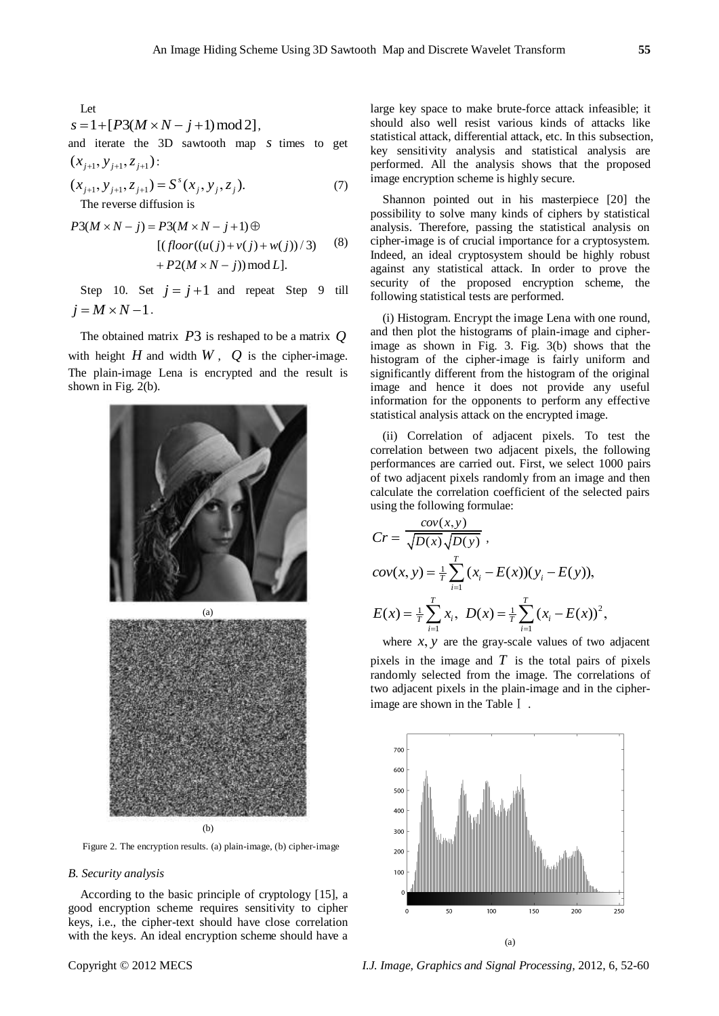Let

Let  

$$
s = 1 + [P3(M \times N - j + 1) \mod 2],
$$

and iterate the 3D sawtooth map *s* times to get  $(x_{j+1}, y_{j+1}, z_{j+1})$ :

$$
(x_{j+1}, y_{j+1}, z_{j+1}) = S^{s}(x_{j}, y_{j}, z_{j}).
$$
\nThe reverse diffusion is

The reverse diffusion is  
\n
$$
P3(M \times N - j) = P3(M \times N - j + 1) \oplus
$$
\n
$$
[(floor((u(j) + v(j) + w(j))) / 3)
$$
\n
$$
+ P2(M \times N - j)) \mod L].
$$
\n(8)

Step 10. Set  $j = j + 1$  and repeat Step 9 till  $j = M \times N - 1$ .

The obtained matrix *P*3 is reshaped to be a matrix *Q* with height  $H$  and width  $W$ ,  $Q$  is the cipher-image. The plain-image Lena is encrypted and the result is shown in Fig. 2(b).



Figure 2. The encryption results. (a) plain-image, (b) cipher-image

## *B. Security analysis*

According to the basic principle of cryptology [15], a good encryption scheme requires sensitivity to cipher keys, i.e., the cipher-text should have close correlation with the keys. An ideal encryption scheme should have a

large key space to make brute-force attack infeasible; it should also well resist various kinds of attacks like statistical attack, differential attack, etc. In this subsection, key sensitivity analysis and statistical analysis are performed. All the analysis shows that the proposed image encryption scheme is highly secure.

Shannon pointed out in his masterpiece [20] the possibility to solve many kinds of ciphers by statistical analysis. Therefore, passing the statistical analysis on cipher-image is of crucial importance for a cryptosystem. Indeed, an ideal cryptosystem should be highly robust against any statistical attack. In order to prove the security of the proposed encryption scheme, the following statistical tests are performed.

(i) Histogram. Encrypt the image Lena with one round, and then plot the histograms of plain-image and cipherimage as shown in Fig. 3. Fig. 3(b) shows that the histogram of the cipher-image is fairly uniform and significantly different from the histogram of the original image and hence it does not provide any useful information for the opponents to perform any effective statistical analysis attack on the encrypted image.

(ii) Correlation of adjacent pixels. To test the correlation between two adjacent pixels, the following performances are carried out. First, we select 1000 pairs of two adjacent pixels randomly from an image and then calculate the correlation coefficient of the selected pairs using the following formulae:

$$
Cr = \frac{cov(x, y)}{\sqrt{D(x)}\sqrt{D(y)}},
$$
  
\n
$$
cov(x, y) = \frac{1}{T} \sum_{i=1}^{T} (x_i - E(x))(y_i - E(y)),
$$
  
\n
$$
E(x) = \frac{1}{T} \sum_{i=1}^{T} x_i, \quad D(x) = \frac{1}{T} \sum_{i=1}^{T} (x_i - E(x))^2,
$$
  
\nwhere *x* is zero, the gray scale values of two sides

where  $x$ ,  $y$  are the gray-scale values of two adjacent pixels in the image and  $T$  is the total pairs of pixels randomly selected from the image. The correlations of two adjacent pixels in the plain-image and in the cipherimage are shown in the TableⅠ .



Copyright © 2012 MECS *I.J. Image, Graphics and Signal Processing,* 2012, 6, 52-60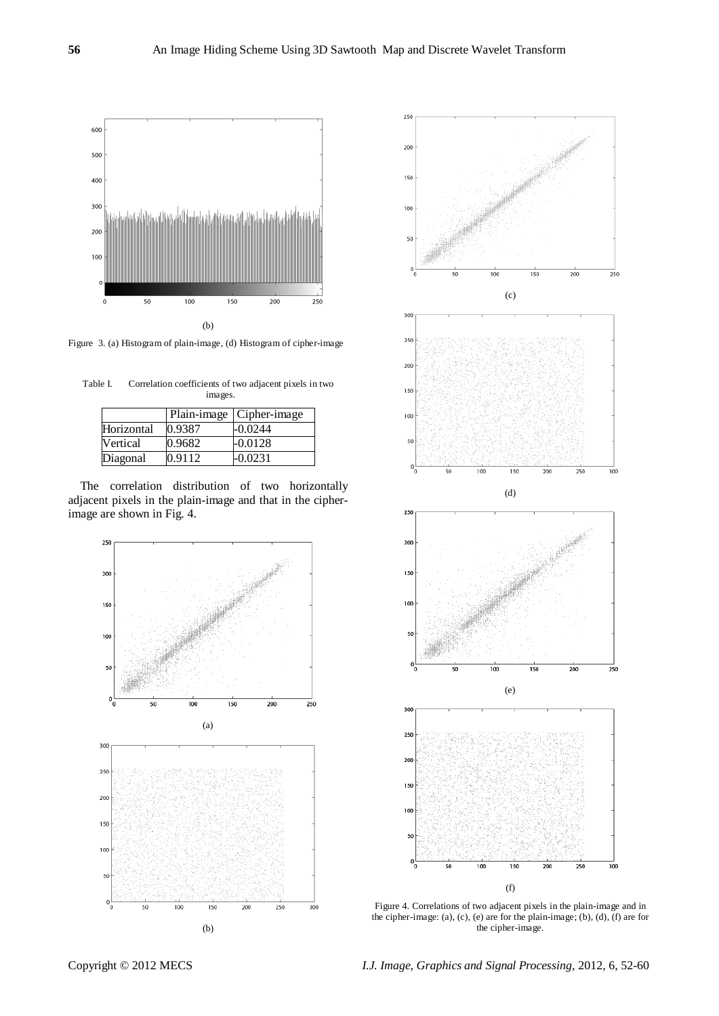

Figure 3. (a) Histogram of plain-image, (d) Histogram of cipher-image

Table I. Correlation coefficients of two adjacent pixels in two images.

|            |        | Plain-image   Cipher-image |
|------------|--------|----------------------------|
| Horizontal | 0.9387 | $-0.0244$                  |
| Vertical   | 0.9682 | $-0.0128$                  |
| Diagonal   | 0.9112 | $-0.0231$                  |

The correlation distribution of two horizontally adjacent pixels in the plain-image and that in the cipherimage are shown in Fig. 4.





Figure 4. Correlations of two adjacent pixels in the plain-image and in the cipher-image: (a), (c), (e) are for the plain-image; (b), (d), (f) are for the cipher-image.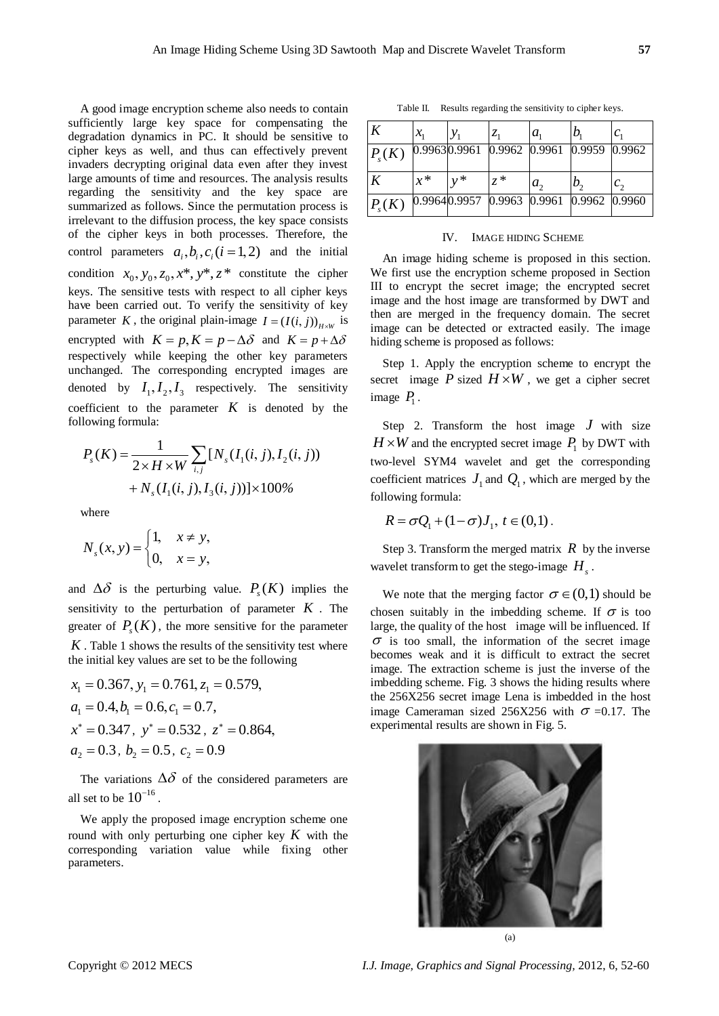A good image encryption scheme also needs to contain sufficiently large key space for compensating the degradation dynamics in PC. It should be sensitive to cipher keys as well, and thus can effectively prevent invaders decrypting original data even after they invest large amounts of time and resources. The analysis results regarding the sensitivity and the key space are summarized as follows. Since the permutation process is irrelevant to the diffusion process, the key space consists of the cipher keys in both processes. Therefore, the control parameters  $a_i, b_i, c_i$  ( $i = 1, 2$ ) and the initial condition  $x_0, y_0, z_0, x^*, y^*, z^*$  constitute the cipher keys. The sensitive tests with respect to all cipher keys have been carried out. To verify the sensitivity of key parameter K, the original plain-image  $I = (I(i, j))_{H \times W}$  is encrypted with  $K = p, K = p - \Delta \delta$  and  $K = p + \Delta \delta$ respectively while keeping the other key parameters unchanged. The corresponding encrypted images are denoted by  $I_1, I_2, I_3$  respectively. The sensitivity coefficient to the parameter  $K$  is denoted by the following formula:

$$
P_s(K) = \frac{1}{2 \times H \times W} \sum_{i,j} [N_s(I_1(i,j), I_2(i,j)) + N_s(I_1(i,j), I_3(i,j))] \times 100\%
$$

where

$$
N_s(x, y) = \begin{cases} 1, & x \neq y, \\ 0, & x = y, \end{cases}
$$

and  $\Delta \delta$  is the perturbing value.  $P_s(K)$  implies the sensitivity to the perturbation of parameter *K* . The greater of  $P_s(K)$ , the more sensitive for the parameter *K* . Table 1 shows the results of the sensitivity test where the initial key values are set to be the following<br> $x_1 = 0.367$ ,  $y_1 = 0.761$ ,  $z_1 = 0.579$ ,

$$
x_1 = 0.367, y_1 = 0.761, z_1 = 0.579,
$$
  
\n
$$
a_1 = 0.4, b_1 = 0.6, c_1 = 0.7,
$$
  
\n
$$
x^* = 0.347, y^* = 0.532, z^* = 0.864,
$$
  
\n
$$
a_2 = 0.3, b_2 = 0.5, c_2 = 0.9
$$

The variations  $\Delta\delta$  of the considered parameters are all set to be  $10^{-16}$ .

We apply the proposed image encryption scheme one round with only perturbing one cipher key  $K$  with the corresponding variation value while fixing other parameters.

Table II. Results regarding the sensitivity to cipher keys.

| K              | $\mathcal{X}_1$ |       | Ζ,    | $a_{i}$      |                                                    |              |
|----------------|-----------------|-------|-------|--------------|----------------------------------------------------|--------------|
| $P_{\rm c}(K)$ |                 |       |       |              | $[0.9963]0.9961$ $[0.9962]0.9961$ $[0.9959]0.9962$ |              |
|                | $x^*$           | $v^*$ | $z^*$ | $a_{\gamma}$ |                                                    | $c_{\gamma}$ |
| $P_{s}(K)$     |                 |       |       |              | $0.99640.9957$ 0.9963 0.9961 0.9962 0.9960         |              |

### IV. IMAGE HIDING SCHEME

An image hiding scheme is proposed in this section. We first use the encryption scheme proposed in Section III to encrypt the secret image; the encrypted secret image and the host image are transformed by DWT and then are merged in the frequency domain. The secret image can be detected or extracted easily. The image hiding scheme is proposed as follows:

Step 1. Apply the encryption scheme to encrypt the secret image  $P$  sized  $H \times W$ , we get a cipher secret image  $P_1$ .

Step 2. Transform the host image  $J$  with size  $H \times W$  and the encrypted secret image  $P_1$  by DWT with two-level SYM4 wavelet and get the corresponding coefficient matrices  $J_1$  and  $Q_1$ , which are merged by the following formula:

$$
R = \sigma Q_1 + (1 - \sigma)J_1, t \in (0,1).
$$

Step 3. Transform the merged matrix  $R$  by the inverse wavelet transform to get the stego-image *H s* .

We note that the merging factor  $\sigma \in (0,1)$  should be chosen suitably in the imbedding scheme. If  $\sigma$  is too large, the quality of the host image will be influenced. If  $\sigma$  is too small, the information of the secret image becomes weak and it is difficult to extract the secret image. The extraction scheme is just the inverse of the imbedding scheme. Fig. 3 shows the hiding results where the 256X256 secret image Lena is imbedded in the host image Cameraman sized 256X256 with  $\sigma$  =0.17. The experimental results are shown in Fig. 5.



Copyright © 2012 MECS *I.J. Image, Graphics and Signal Processing,* 2012, 6, 52-60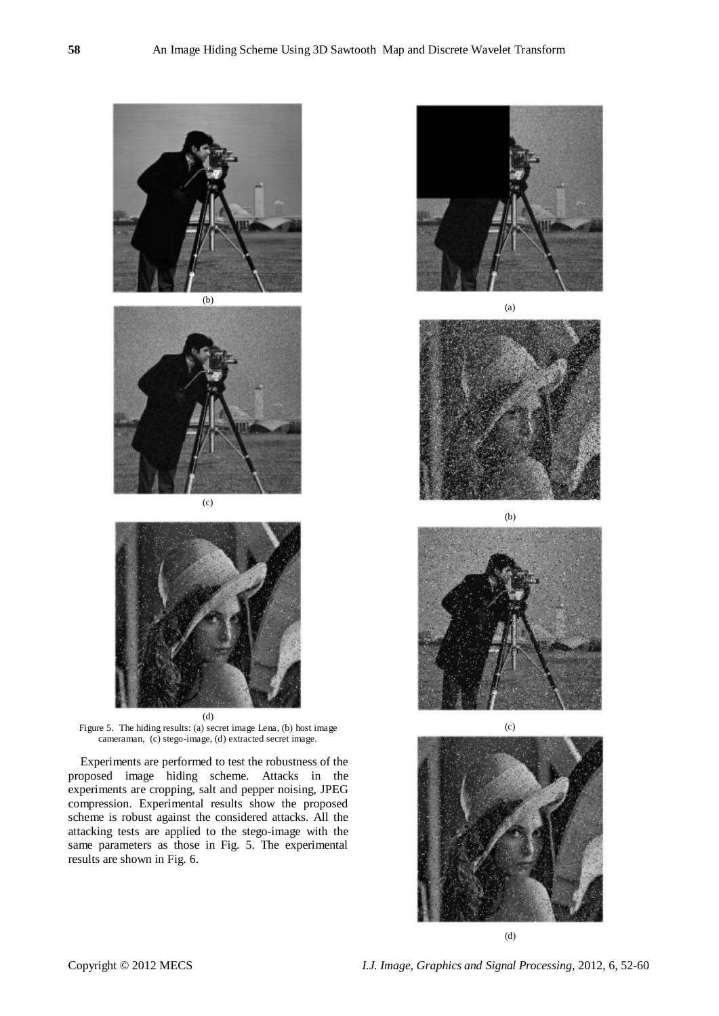



(c)



(d) Figure 5. The hiding results: (a) secret image Lena, (b) host image cameraman, (c) stego-image, (d) extracted secret image.

Experiments are performed to test the robustness of the proposed image hiding scheme. Attacks in the experiments are cropping, salt and pepper noising, JPEG compression. Experimental results show the proposed scheme is robust against the considered attacks. All the attacking tests are applied to the stego-image with the same parameters as those in Fig. 5. The experimental results are shown in Fig. 6.







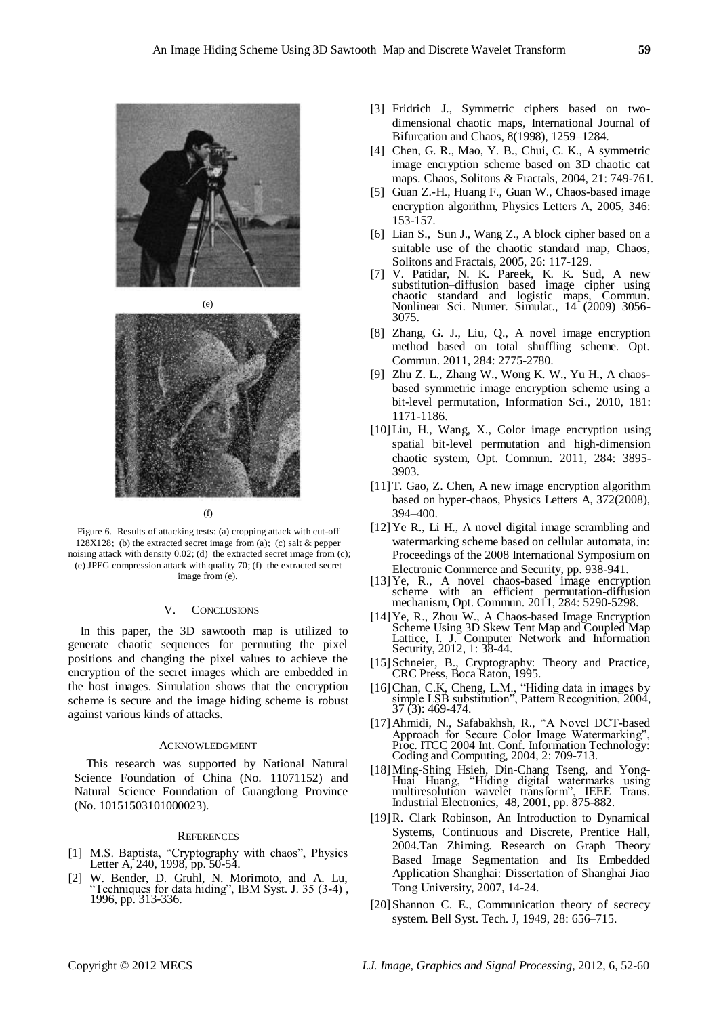



(f)

Figure 6. Results of attacking tests: (a) cropping attack with cut-off 128X128; (b) the extracted secret image from (a); (c) salt & pepper noising attack with density 0.02; (d) the extracted secret image from (c); (e) JPEG compression attack with quality 70; (f) the extracted secret image from (e).

#### V. CONCLUSIONS

In this paper, the 3D sawtooth map is utilized to generate chaotic sequences for permuting the pixel positions and changing the pixel values to achieve the encryption of the secret images which are embedded in the host images. Simulation shows that the encryption scheme is secure and the image hiding scheme is robust against various kinds of attacks.

#### ACKNOWLEDGMENT

This research was supported by National Natural Science Foundation of China (No. 11071152) and Natural Science Foundation of Guangdong Province (No. 10151503101000023).

#### **REFERENCES**

- [1] M.S. Baptista, "Cryptography with chaos", Physics Letter A, 240, 1998, pp. 50-54.
- [2] W. Bender, D. Gruhl, N. Morimoto, and A. Lu, "Techniques for data hiding", IBM Syst. J. 35 (3-4) , 1996, pp. 313-336.
- [3] Fridrich J., Symmetric ciphers based on twodimensional chaotic maps, International Journal of Bifurcation and Chaos, 8(1998), 1259–1284.
- [4] Chen, G. R., Mao, Y. B., Chui, C. K., A symmetric image encryption scheme based on 3D chaotic cat maps. Chaos, Solitons & Fractals, 2004, 21: 749-761.
- [5] Guan Z.-H., Huang F., Guan W., Chaos-based image encryption algorithm, Physics Letters A, 2005, 346: 153-157.
- [6] Lian S., Sun J., Wang Z., A block cipher based on a suitable use of the chaotic standard map, Chaos, Solitons and Fractals, 2005, 26: 117-129.
- [7] V. Patidar, N. K. Pareek, K. K. Sud, A new substitution–diffusion based image cipher using chaotic standard and logistic maps, Nonlinear Sci. Numer. Simulat., 14 (2009) 3056- 3075.
- [8] Zhang, G. J., Liu, Q., A novel image encryption method based on total shuffling scheme. Opt. Commun. 2011, 284: 2775-2780.
- [9] Zhu Z. L., Zhang W., Wong K. W., Yu H., A chaosbased symmetric image encryption scheme using a bit-level permutation, Information Sci., 2010, 181: 1171-1186.
- [10]Liu, H., Wang, X., Color image encryption using spatial bit-level permutation and high-dimension chaotic system, Opt. Commun. 2011, 284: 3895- 3903.
- [11]T. Gao, Z. Chen, A new image encryption algorithm based on hyper-chaos, Physics Letters A, 372(2008), 394–400.
- [12]Ye R., Li H., A novel digital image scrambling and watermarking scheme based on cellular automata, in: Proceedings of the 2008 International Symposium on Electronic Commerce and Security, pp. 938-941.
- [13]Ye, R., A novel chaos-based image encryption scheme with an efficient permutation-diffusion mechanism, Opt. Commun. 2011, 284: 5290-5298.
- [14]Ye, R., Zhou W., A Chaos-based Image Encryption Scheme Using 3D Skew Tent Map and Coupled Map Lattice, I. J. Computer Network and Information Security, 2012, 1: 38-44.
- [15] Schneier, B., Cryptography: Theory and Practice, CRC Press, Boca Raton, 1995.
- [16]Chan, C.K, Cheng, L.M., "Hiding data in images by simple LSB substitution", Pattern Recognition, 2004, 37 (3): 469-474.
- [17]Ahmidi, N., Safabakhsh, R., "A Novel DCT-based Approach for Secure Color Image Watermarking", Proc. ITCC 2004 Int. Conf. Information Technology: Coding and Computing, 2004, 2: 709-713.
- [18]Ming-Shing Hsieh, Din-Chang Tseng, and Yong-Huai Huang, "Hiding digital watermarks using multiresolution wavelet transform", IEEE Trans. Industrial Electronics, 48, 2001, pp. 875-882.
- [19]R. Clark Robinson, An Introduction to Dynamical Systems, Continuous and Discrete, Prentice Hall, 2004.Tan Zhiming. Research on Graph Theory Based Image Segmentation and Its Embedded Application Shanghai: Dissertation of Shanghai Jiao Tong University, 2007, 14-24.
- [20] Shannon C. E., Communication theory of secrecy system. Bell Syst. Tech. J, 1949, 28: 656–715.